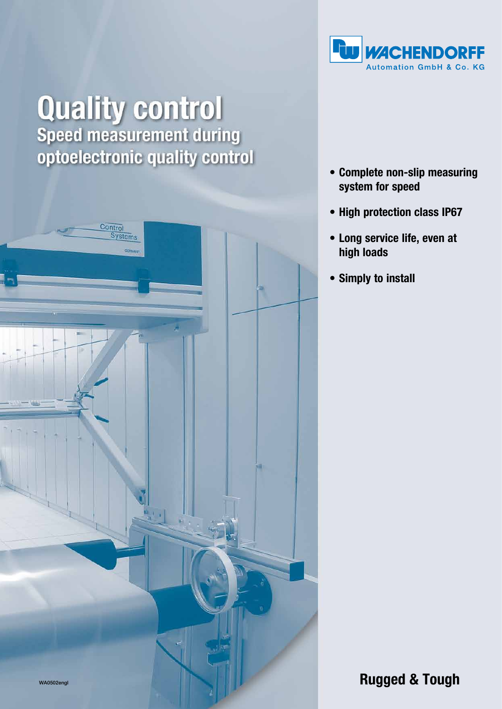

# **Quality control**<br>Speed measurement during optoelectronic quality control



- • Complete non-slip measuring system for speed
- High protection class IP67
- • Long service life, even at high loads
- • Simply to install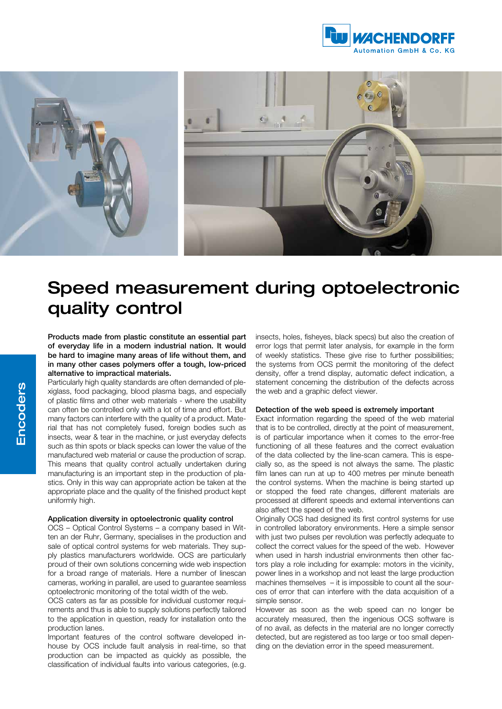



# Speed measurement during optoelectronic quality control

Products made from plastic constitute an essential part of everyday life in a modern industrial nation. It would be hard to imagine many areas of life without them, and in many other cases polymers offer a tough, low-priced alternative to impractical materials.

Particularly high quality standards are often demanded of plexiglass, food packaging, blood plasma bags, and especially of plastic films and other web materials - where the usability can often be controlled only with a lot of time and effort. But many factors can interfere with the quality of a product. Material that has not completely fused, foreign bodies such as insects, wear & tear in the machine, or just everyday defects such as thin spots or black specks can lower the value of the manufactured web material or cause the production of scrap. This means that quality control actually undertaken during manufacturing is an important step in the production of plastics. Only in this way can appropriate action be taken at the appropriate place and the quality of the finished product kept uniformly high.

#### Application diversity in optoelectronic quality control

OCS – Optical Control Systems – a company based in Witten an der Ruhr, Germany, specialises in the production and sale of optical control systems for web materials. They supply plastics manufacturers worldwide. OCS are particularly proud of their own solutions concerning wide web inspection for a broad range of materials. Here a number of linescan cameras, working in parallel, are used to guarantee seamless optoelectronic monitoring of the total width of the web.

OCS caters as far as possible for individual customer requirements and thus is able to supply solutions perfectly tailored to the application in question, ready for installation onto the production lanes.

Important features of the control software developed inhouse by OCS include fault analysis in real-time, so that production can be impacted as quickly as possible, the classification of individual faults into various categories, (e.g.

insects, holes, fisheyes, black specs) but also the creation of error logs that permit later analysis, for example in the form of weekly statistics. These give rise to further possibilities; the systems from OCS permit the monitoring of the defect density, offer a trend display, automatic defect indication, a statement concerning the distribution of the defects across the web and a graphic defect viewer.

#### Detection of the web speed is extremely important

Exact information regarding the speed of the web material that is to be controlled, directly at the point of measurement, is of particular importance when it comes to the error-free functioning of all these features and the correct evaluation of the data collected by the line-scan camera. This is especially so, as the speed is not always the same. The plastic film lanes can run at up to 400 metres per minute beneath the control systems. When the machine is being started up or stopped the feed rate changes, different materials are processed at different speeds and external interventions can also affect the speed of the web.

Originally OCS had designed its first control systems for use in controlled laboratory environments. Here a simple sensor with just two pulses per revolution was perfectly adequate to collect the correct values for the speed of the web. However when used in harsh industrial environments then other factors play a role including for example: motors in the vicinity, power lines in a workshop and not least the large production machines themselves – it is impossible to count all the sources of error that can interfere with the data acquisition of a simple sensor.

However as soon as the web speed can no longer be accurately measured, then the ingenious OCS software is of no avail, as defects in the material are no longer correctly detected, but are registered as too large or too small depending on the deviation error in the speed measurement.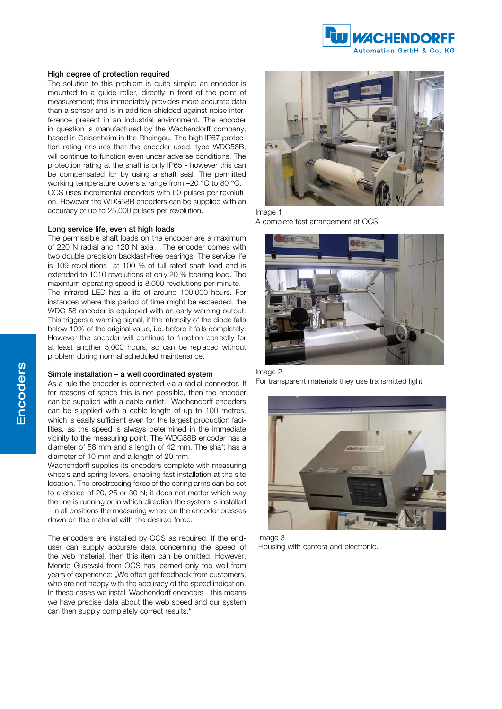

#### High degree of protection required

The solution to this problem is quite simple: an encoder is mounted to a guide roller, directly in front of the point of measurement; this immediately provides more accurate data than a sensor and is in addition shielded against noise interference present in an industrial environment. The encoder in question is manufactured by the Wachendorff company, based in Geisenheim in the Rheingau. The high IP67 protection rating ensures that the encoder used, type WDG58B, will continue to function even under adverse conditions. The protection rating at the shaft is only IP65 - however this can be compensated for by using a shaft seal. The permitted working temperature covers a range from –20 °C to 80 °C. OCS uses incremental encoders with 60 pulses per revolution. However the WDG58B encoders can be supplied with an accuracy of up to 25,000 pulses per revolution.

#### Long service life, even at high loads

The permissible shaft loads on the encoder are a maximum of 220 N radial and 120 N axial. The encoder comes with two double precision backlash-free bearings. The service life is 109 revolutions at 100 % of full rated shaft load and is extended to 1010 revolutions at only 20 % bearing load. The maximum operating speed is 8,000 revolutions per minute. The infrared LED has a life of around 100,000 hours. For instances where this period of time might be exceeded, the WDG 58 encoder is equipped with an early-warning output. This triggers a warning signal, if the intensity of the diode falls below 10% of the original value, i.e. before it fails completely. However the encoder will continue to function correctly for at least another 5,000 hours, so can be replaced without problem during normal scheduled maintenance.

#### Simple installation – a well coordinated system

As a rule the encoder is connected via a radial connector. If for reasons of space this is not possible, then the encoder can be supplied with a cable outlet. Wachendorff encoders can be supplied with a cable length of up to 100 metres, which is easily sufficient even for the largest production facilities, as the speed is always determined in the immediate vicinity to the measuring point. The WDG58B encoder has a diameter of 58 mm and a length of 42 mm. The shaft has a diameter of 10 mm and a length of 20 mm.

Wachendorff supplies its encoders complete with measuring wheels and spring levers, enabling fast installation at the site location. The prestressing force of the spring arms can be set to a choice of 20, 25 or 30 N; it does not matter which way the line is running or in which direction the system is installed – in all positions the measuring wheel on the encoder presses down on the material with the desired force.

The encoders are installed by OCS as required. If the enduser can supply accurate data concerning the speed of the web material, then this item can be omitted. However, Mendo Gusevski from OCS has learned only too well from years of experience: "We often get feedback from customers, who are not happy with the accuracy of the speed indication. In these cases we install Wachendorff encoders - this means we have precise data about the web speed and our system can then supply completely correct results."



#### Image 1

A complete test arrangement at OCS



### Image 2

For transparent materials they use transmitted light



Image 3 Housing with camera and electronic.